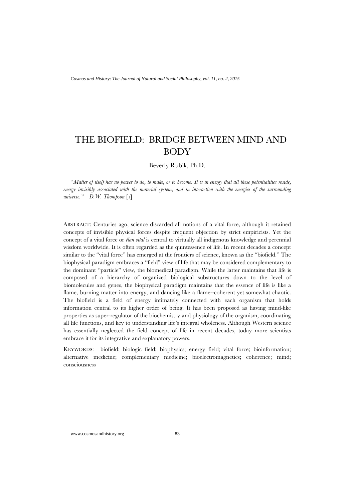# THE BIOFIELD: BRIDGE BETWEEN MIND AND BODY

Beverly Rubik, Ph.D.

"*Matter of itself has no power to do, to make, or to become. It is in energy that all these potentialities reside, energy invisibly associated with the material system, and in interaction with the energies of the surrounding universe."—D.W. Thompson* [1]

ABSTRACT: Centuries ago, science discarded all notions of a vital force, although it retained concepts of invisible physical forces despite frequent objection by strict empiricists. Yet the concept of a vital force or *élan vital* is central to virtually all indigenous knowledge and perennial wisdom worldwide. It is often regarded as the quintessence of life. In recent decades a concept similar to the "vital force" has emerged at the frontiers of science, known as the "biofield." The biophysical paradigm embraces a "field" view of life that may be considered complementary to the dominant "particle" view, the biomedical paradigm. While the latter maintains that life is composed of a hierarchy of organized biological substructures down to the level of biomolecules and genes, the biophysical paradigm maintains that the essence of life is like a flame, burning matter into energy, and dancing like a flame--coherent yet somewhat chaotic. The biofield is a field of energy intimately connected with each organism that holds information central to its higher order of being. It has been proposed as having mind-like properties as super-regulator of the biochemistry and physiology of the organism, coordinating all life functions, and key to understanding life's integral wholeness. Although Western science has essentially neglected the field concept of life in recent decades, today more scientists embrace it for its integrative and explanatory powers.

KEYWORDS: biofield; biologic field; biophysics; energy field; vital force; bioinformation; alternative medicine; complementary medicine; bioelectromagnetics; coherence; mind; consciousness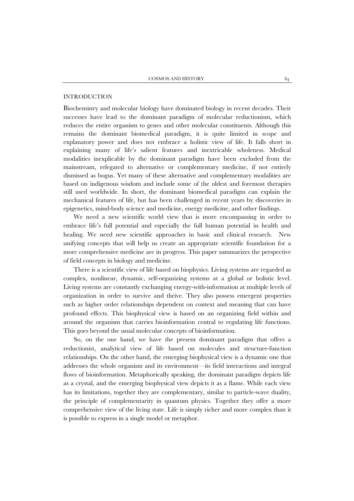## INTRODUCTION

Biochemistry and molecular biology have dominated biology in recent decades. Their successes have lead to the dominant paradigm of molecular reductionism, which reduces the entire organism to genes and other molecular constituents. Although this remains the dominant biomedical paradigm, it is quite limited in scope and explanatory power and does not embrace a holistic view of life. It falls short in explaining many of life's salient features and inextricable wholeness. Medical modalities inexplicable by the dominant paradigm have been excluded from the mainstream, relegated to alternative or complementary medicine, if not entirely dismissed as bogus. Yet many of these alternative and complementary modalities are based on indigenous wisdom and include some of the oldest and foremost therapies still used worldwide. In short, the dominant biomedical paradigm can explain the mechanical features of life, but has been challenged in recent years by discoveries in epigenetics, mind-body science and medicine, energy medicine, and other findings.

We need a new scientific world view that is more encompassing in order to embrace life's full potential and especially the full human potential in health and healing. We need new scientific approaches in basic and clinical research. New unifying concepts that will help us create an appropriate scientific foundation for a more comprehensive medicine are in progress. This paper summarizes the perspective of field concepts in biology and medicine.

There is a scientific view of life based on biophysics. Living systems are regarded as complex, nonlinear, dynamic, self-organizing systems at a global or holistic level. Living systems are constantly exchanging energy-with-information at multiple levels of organization in order to survive and thrive. They also possess emergent properties such as higher order relationships dependent on context and meaning that can have profound effects. This biophysical view is based on an organizing field within and around the organism that carries bioinformation central to regulating life functions. This goes beyond the usual molecular concepts of bioinformation.

So, on the one hand, we have the present dominant paradigm that offers a reductionist, analytical view of life based on molecules and structure-function relationships. On the other hand, the emerging biophysical view is a dynamic one that addresses the whole organism and its environment—its field interactions and integral flows of bioinformation. Metaphorically speaking, the dominant paradigm depicts life as a crystal, and the emerging biophysical view depicts it as a flame. While each view has its limitations, together they are complementary, similar to particle-wave duality, the principle of complementarity in quantum physics. Together they offer a more comprehensive view of the living state. Life is simply richer and more complex than it is possible to express in a single model or metaphor.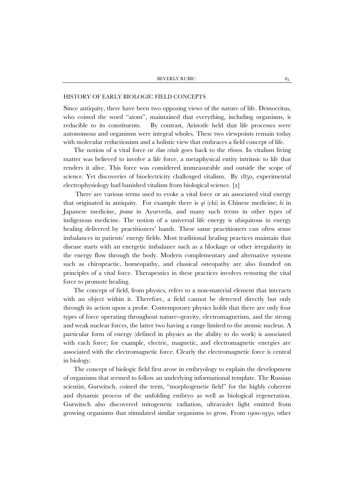#### HISTORY OF EARLY BIOLOGIC FIELD CONCEPTS

Since antiquity, there have been two opposing views of the nature of life. Democritus, who coined the word "atom", maintained that everything, including organisms, is reducible to its constituents. By contrast, Aristotle held that life processes were autonomous and organisms were integral wholes. These two viewpoints remain today with molecular reductionism and a holistic view that embraces a field concept of life.

The notion of a vital force or *élan vitale* goes back to the 1600s. In vitalism living matter was believed to involve a life force, a metaphysical entity intrinsic to life that renders it alive. This force was considered immeasurable and outside the scope of science. Yet discoveries of bioelectricity challenged vitalism. By 1850, experimental electrophysiology had banished vitalism from biological science. [2]

There are various terms used to evoke a vital force or an associated vital energy that originated in antiquity. For example there is *qi* (chi) in Chinese medicine; *ki* in Japanese medicine, *prana* in Ayurveda, and many such terms in other types of indigenous medicine. The notion of a universal life energy is ubiquitous in energy healing delivered by practitioners' hands. These same practitioners can often sense imbalances in patients' energy fields. Most traditional healing practices maintain that disease starts with an energetic imbalance such as a blockage or other irregularity in the energy flow through the body. Modern complementary and alternative systems such as chiropractic, homeopathy, and classical osteopathy are also founded on principles of a vital force. Therapeutics in these practices involves restoring the vital force to promote healing.

The concept of field, from physics, refers to a non-material element that interacts with an object within it. Therefore, a field cannot be detected directly but only through its action upon a probe. Contemporary physics holds that there are only four types of force operating throughout nature--gravity, electromagnetism, and the strong and weak nuclear forces, the latter two having a range limited to the atomic nucleus. A particular form of energy (defined in physics as the ability to do work) is associated with each force; for example, electric, magnetic, and electromagnetic energies are associated with the electromagnetic force. Clearly the electromagnetic force is central in biology.

The concept of biologic field first arose in embryology to explain the development of organisms that seemed to follow an underlying informational template. The Russian scientist, Gurwitsch, coined the term, "morphogenetic field" for the highly coherent and dynamic process of the unfolding embryo as well as biological regeneration. Gurwitsch also discovered mitogenetic radiation, ultraviolet light emitted from growing organisms that stimulated similar organisms to grow. From 1900-1950, other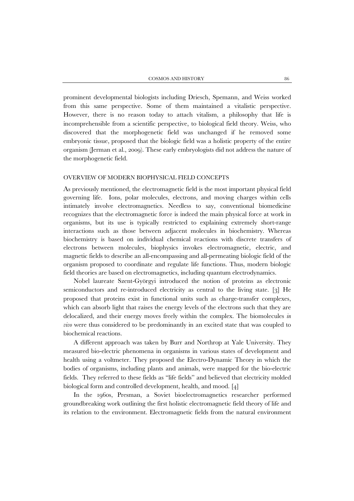prominent developmental biologists including Driesch, Spemann, and Weiss worked from this same perspective. Some of them maintained a vitalistic perspective. However, there is no reason today to attach vitalism, a philosophy that life is incomprehensible from a scientific perspective, to biological field theory. Weiss, who discovered that the morphogenetic field was unchanged if he removed some embryonic tissue, proposed that the biologic field was a holistic property of the entire organism (Jerman et al., 2009). These early embryologists did not address the nature of the morphogenetic field.

## OVERVIEW OF MODERN BIOPHYSICAL FIELD CONCEPTS

As previously mentioned, the electromagnetic field is the most important physical field governing life. Ions, polar molecules, electrons, and moving charges within cells intimately involve electromagnetics. Needless to say, conventional biomedicine recognizes that the electromagnetic force is indeed the main physical force at work in organisms, but its use is typically restricted to explaining extremely short-range interactions such as those between adjacent molecules in biochemistry. Whereas biochemistry is based on individual chemical reactions with discrete transfers of electrons between molecules, biophysics invokes electromagnetic, electric, and magnetic fields to describe an all-encompassing and all-permeating biologic field of the organism proposed to coordinate and regulate life functions. Thus, modern biologic field theories are based on electromagnetics, including quantum electrodynamics.

Nobel laureate Szent-Györgyi introduced the notion of proteins as electronic semiconductors and re-introduced electricity as central to the living state. [3] He proposed that proteins exist in functional units such as charge-transfer complexes, which can absorb light that raises the energy levels of the electrons such that they are delocalized, and their energy moves freely within the complex. The biomolecules *in vivo* were thus considered to be predominantly in an excited state that was coupled to biochemical reactions.

A different approach was taken by Burr and Northrop at Yale University. They measured bio-electric phenomena in organisms in various states of development and health using a voltmeter. They proposed the Electro-Dynamic Theory in which the bodies of organisms, including plants and animals, were mapped for the bio-electric fields. They referred to these fields as "life fields" and believed that electricity molded biological form and controlled development, health, and mood. [4]

In the 1960s, Presman, a Soviet bioelectromagnetics researcher performed groundbreaking work outlining the first holistic electromagnetic field theory of life and its relation to the environment. Electromagnetic fields from the natural environment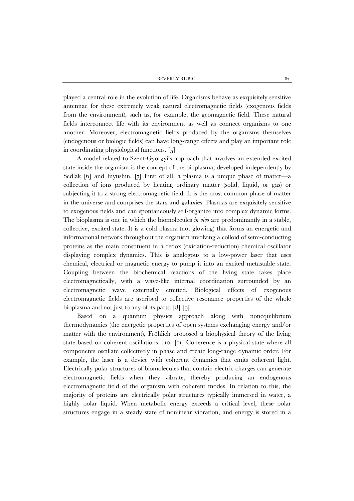played a central role in the evolution of life. Organisms behave as exquisitely sensitive antennae for these extremely weak natural electromagnetic fields (exogenous fields from the environment), such as, for example, the geomagnetic field. These natural fields interconnect life with its environment as well as connect organisms to one another. Moreover, electromagnetic fields produced by the organisms themselves (endogenous or biologic fields) can have long-range effects and play an important role in coordinating physiological functions. [5]

 A model related to Szent-Györgyi's approach that involves an extended excited state inside the organism is the concept of the bioplasma, developed independently by Sedlak [6] and Inyushin. [7] First of all, a plasma is a unique phase of matter—a collection of ions produced by heating ordinary matter (solid, liquid, or gas) or subjecting it to a strong electromagnetic field. It is the most common phase of matter in the universe and comprises the stars and galaxies. Plasmas are exquisitely sensitive to exogenous fields and can spontaneously self-organize into complex dynamic forms. The bioplasma is one in which the biomolecules *in vivo* are predominantly in a stable, collective, excited state. It is a cold plasma (not glowing) that forms an energetic and informational network throughout the organism involving a colloid of semi-conducting proteins as the main constituent in a redox (oxidation-reduction) chemical oscillator displaying complex dynamics. This is analogous to a low-power laser that uses chemical, electrical or magnetic energy to pump it into an excited metastable state. Coupling between the biochemical reactions of the living state takes place electromagnetically, with a wave-like internal coordination surrounded by an electromagnetic wave externally emitted. Biological effects of exogenous electromagnetic fields are ascribed to collective resonance properties of the whole bioplasma and not just to any of its parts. [8] [9]

 Based on a quantum physics approach along with nonequilibrium thermodynamics (the energetic properties of open systems exchanging energy and/or matter with the environment), Fröhlich proposed a biophysical theory of the living state based on coherent oscillations. [10] [11] Coherence is a physical state where all components oscillate collectively in phase and create long-range dynamic order. For example, the laser is a device with coherent dynamics that emits coherent light. Electrically polar structures of biomolecules that contain electric charges can generate electromagnetic fields when they vibrate, thereby producing an endogenous electromagnetic field of the organism with coherent modes. In relation to this, the majority of proteins are electrically polar structures typically immersed in water, a highly polar liquid. When metabolic energy exceeds a critical level, these polar structures engage in a steady state of nonlinear vibration, and energy is stored in a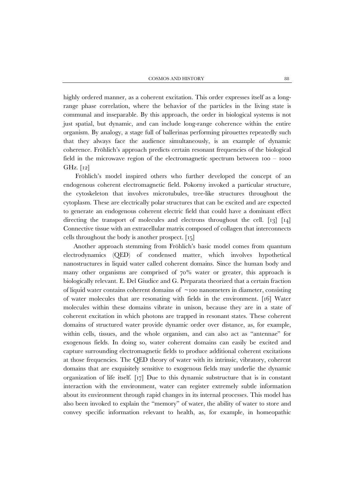highly ordered manner, as a coherent excitation. This order expresses itself as a longrange phase correlation, where the behavior of the particles in the living state is communal and inseparable. By this approach, the order in biological systems is not just spatial, but dynamic, and can include long-range coherence within the entire organism. By analogy, a stage full of ballerinas performing pirouettes repeatedly such that they always face the audience simultaneously, is an example of dynamic coherence. Fröhlich's approach predicts certain resonant frequencies of the biological field in the microwave region of the electromagnetic spectrum between 100 – 1000 GHz. [12]

Fröhlich's model inspired others who further developed the concept of an endogenous coherent electromagnetic field. Pokorny invoked a particular structure, the cytoskeleton that involves microtubules, tree-like structures throughout the cytoplasm. These are electrically polar structures that can be excited and are expected to generate an endogenous coherent electric field that could have a dominant effect directing the transport of molecules and electrons throughout the cell. [13] [14] Connective tissue with an extracellular matrix composed of collagen that interconnects cells throughout the body is another prospect. [15]

Another approach stemming from Fröhlich's basic model comes from quantum electrodynamics (QED) of condensed matter, which involves hypothetical nanostructures in liquid water called coherent domains. Since the human body and many other organisms are comprised of 70% water or greater, this approach is biologically relevant. E. Del Giudice and G. Preparata theorized that a certain fraction of liquid water contains coherent domains of  $\sim$ 100 nanometers in diameter, consisting of water molecules that are resonating with fields in the environment. [16] Water molecules within these domains vibrate in unison, because they are in a state of coherent excitation in which photons are trapped in resonant states. These coherent domains of structured water provide dynamic order over distance, as, for example, within cells, tissues, and the whole organism, and can also act as "antennae" for exogenous fields. In doing so, water coherent domains can easily be excited and capture surrounding electromagnetic fields to produce additional coherent excitations at those frequencies. The QED theory of water with its intrinsic, vibratory, coherent domains that are exquisitely sensitive to exogenous fields may underlie the dynamic organization of life itself. [17] Due to this dynamic substructure that is in constant interaction with the environment, water can register extremely subtle information about its environment through rapid changes in its internal processes. This model has also been invoked to explain the "memory" of water, the ability of water to store and convey specific information relevant to health, as, for example, in homeopathic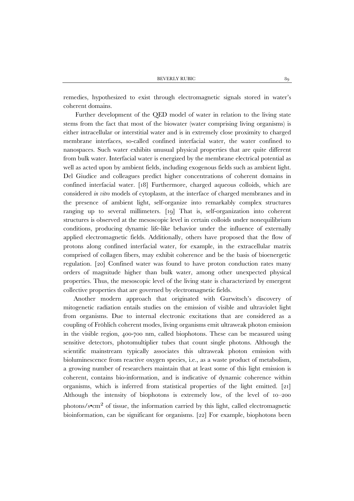remedies, hypothesized to exist through electromagnetic signals stored in water's coherent domains.

Further development of the QED model of water in relation to the living state stems from the fact that most of the biowater (water comprising living organisms) is either intracellular or interstitial water and is in extremely close proximity to charged membrane interfaces, so-called confined interfacial water, the water confined to nanospaces. Such water exhibits unusual physical properties that are quite different from bulk water. Interfacial water is energized by the membrane electrical potential as well as acted upon by ambient fields, including exogenous fields such as ambient light. Del Giudice and colleagues predict higher concentrations of coherent domains in confined interfacial water. [18] Furthermore, charged aqueous colloids, which are considered *in vitro* models of cytoplasm, at the interface of charged membranes and in the presence of ambient light, self-organize into remarkably complex structures ranging up to several millimeters. [19] That is, self-organization into coherent structures is observed at the mesoscopic level in certain colloids under nonequilibrium conditions, producing dynamic life-like behavior under the influence of externally applied electromagnetic fields. Additionally, others have proposed that the flow of protons along confined interfacial water, for example, in the extracellular matrix comprised of collagen fibers, may exhibit coherence and be the basis of bioenergetic regulation. [20] Confined water was found to have proton conduction rates many orders of magnitude higher than bulk water, among other unexpected physical properties. Thus, the mesoscopic level of the living state is characterized by emergent collective properties that are governed by electromagnetic fields.

Another modern approach that originated with Gurwitsch's discovery of mitogenetic radiation entails studies on the emission of visible and ultraviolet light from organisms. Due to internal electronic excitations that are considered as a coupling of Fröhlich coherent modes, living organisms emit ultraweak photon emission in the visible region, 400-700 nm, called biophotons. These can be measured using sensitive detectors, photomultiplier tubes that count single photons. Although the scientific mainstream typically associates this ultraweak photon emission with bioluminescence from reactive oxygen species, i.e., as a waste product of metabolism, a growing number of researchers maintain that at least some of this light emission is coherent, contains bio-information, and is indicative of dynamic coherence within organisms, which is inferred from statistical properties of the light emitted. [21] Although the intensity of biophotons is extremely low, of the level of 10–200 photons/s•cm2 of tissue, the information carried by this light, called electromagnetic bioinformation, can be significant for organisms. [22] For example, biophotons been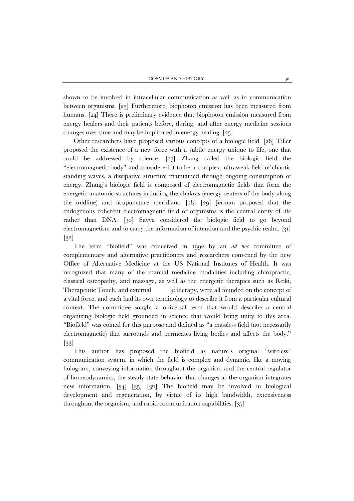shown to be involved in intracellular communication as well as in communication between organisms. [23] Furthermore, biophoton emission has been measured from humans. [24] There is preliminary evidence that biophoton emission measured from energy healers and their patients before, during, and after energy medicine sessions changes over time and may be implicated in energy healing. [25]

Other researchers have proposed various concepts of a biologic field. [26] Tiller proposed the existence of a new force with a subtle energy unique to life, one that could be addressed by science. [27] Zhang called the biologic field the "electromagnetic body" and considered it to be a complex, ultraweak field of chaotic standing waves, a dissipative structure maintained through ongoing consumption of energy. Zhang's biologic field is composed of electromagnetic fields that form the energetic anatomic structures including the chakras (energy centers of the body along the midline) and acupuncture meridians. [28] [29] Jerman proposed that the endogenous coherent electromagnetic field of organisms is the central entity of life rather than DNA. [30] Savva considered the biologic field to go beyond electromagnetism and to carry the information of intention and the psychic realm. [31] [32]

The term "biofield" was conceived in 1992 by an *ad hoc* committee of complementary and alternative practitioners and researchers convened by the new Office of Alternative Medicine at the US National Institutes of Health. It was recognized that many of the manual medicine modalities including chiropractic, classical osteopathy, and massage, as well as the energetic therapies such as Reiki, Therapeutic Touch, and external *qi* therapy, were all founded on the concept of a vital force, and each had its own terminology to describe it from a particular cultural context. The committee sought a universal term that would describe a central organizing biologic field grounded in science that would bring unity to this area. "Biofield" was coined for this purpose and defined as "a massless field (not necessarily electromagnetic) that surrounds and permeates living bodies and affects the body." [33]

This author has proposed the biofield as nature's original "wireless" communication system, in which the field is complex and dynamic, like a moving hologram, conveying information throughout the organism and the central regulator of homeodynamics, the steady state behavior that changes as the organism integrates new information. [34] [35] [36] The biofield may be involved in biological development and regeneration, by virtue of its high bandwidth, extensiveness throughout the organism, and rapid communication capabilities. [37]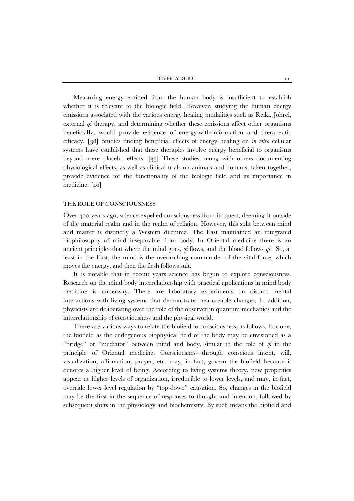BEVERLY RUBIC 91

Measuring energy emitted from the human body is insufficient to establish whether it is relevant to the biologic field. However, studying the human energy emissions associated with the various energy healing modalities such as Reiki, Johrei, external *qi* therapy, and determining whether these emissions affect other organisms beneficially, would provide evidence of energy-with-information and therapeutic efficacy. [38] Studies finding beneficial effects of energy healing on *in vitro* cellular systems have established that these therapies involve energy beneficial to organisms beyond mere placebo effects. [39] These studies, along with others documenting physiological effects, as well as clinical trials on animals and humans, taken together, provide evidence for the functionality of the biologic field and its importance in medicine. [40]

#### THE ROLE OF CONSCIOUSNESS

Over 400 years ago, science expelled consciousness from its quest, deeming it outside of the material realm and in the realm of religion. However, this split between mind and matter is distinctly a Western dilemma. The East maintained an integrated biophilosophy of mind inseparable from body. In Oriental medicine there is an ancient principle--that where the mind goes, *qi* flows, and the blood follows *qi*. So, at least in the East, the mind is the overarching commander of the vital force, which moves the energy, and then the flesh follows suit.

It is notable that in recent years science has begun to explore consciousness. Research on the mind-body interrelationship with practical applications in mind-body medicine is underway. There are laboratory experiments on distant mental interactions with living systems that demonstrate measureable changes. In addition, physicists are deliberating over the role of the observer in quantum mechanics and the interrelationship of consciousness and the physical world.

There are various ways to relate the biofield to consciousness, as follows. For one, the biofield as the endogenous biophysical field of the body may be envisioned as a "bridge" or "mediator" between mind and body, similar to the role of *qi* in the principle of Oriental medicine. Consciousness--through conscious intent, will, visualization, affirmation, prayer, etc. may, in fact, govern the biofield because it denotes a higher level of being. According to living systems theory, new properties appear at higher levels of organization, irreducible to lower levels, and may, in fact, override lower-level regulation by "top-down" causation. So, changes in the biofield may be the first in the sequence of responses to thought and intention, followed by subsequent shifts in the physiology and biochemistry. By such means the biofield and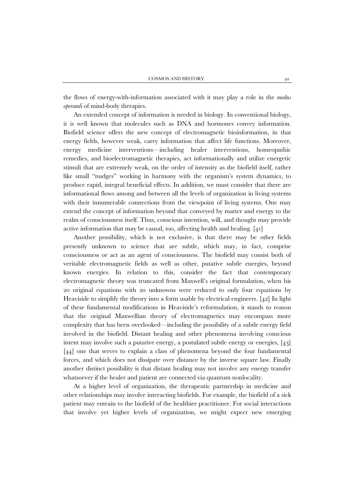the flows of energy-with-information associated with it may play a role in the *modus operandi* of mind-body therapies.

An extended concept of information is needed in biology. In conventional biology, it is well known that molecules such as DNA and hormones convey information. Biofield science offers the new concept of electromagnetic bioinformation, in that energy fields, however weak, carry information that affect life functions. Moreover, energy medicine interventions—including healer interventions, homeopathic remedies, and bioelectromagnetic therapies, act informationally and utilize energetic stimuli that are extremely weak, on the order of intensity as the biofield itself, rather like small "nudges" working in harmony with the organism's system dynamics, to produce rapid, integral beneficial effects. In addition, we must consider that there are informational flows among and between all the levels of organization in living systems with their innumerable connections from the viewpoint of living systems. One may extend the concept of information beyond that conveyed by matter and energy to the realm of consciousness itself. Thus, conscious intention, will, and thought may provide active information that may be causal, too, affecting health and healing. [41]

Another possibility, which is not exclusive, is that there may be other fields presently unknown to science that are subtle, which may, in fact, comprise consciousness or act as an agent of consciousness. The biofield may consist both of veritable electromagnetic fields as well as other, putative subtle energies, beyond known energies. In relation to this, consider the fact that contemporary electromagnetic theory was truncated from Maxwell's original formulation, when his 20 original equations with 20 unknowns were reduced to only four equations by Heaviside to simplify the theory into a form usable by electrical engineers. [42] In light of these fundamental modifications in Heaviside's reformulation, it stands to reason that the original Maxwellian theory of electromagnetics may encompass more complexity that has been overlooked—including the possibility of a subtle energy field involved in the biofield. Distant healing and other phenomena involving conscious intent may involve such a putative energy, a postulated subtle energy or energies, [43] [44] one that serves to explain a class of phenomena beyond the four fundamental forces, and which does not dissipate over distance by the inverse square law. Finally another distinct possibility is that distant healing may not involve any energy transfer whatsoever if the healer and patient are connected via quantum nonlocality.

At a higher level of organization, the therapeutic partnership in medicine and other relationships may involve interacting biofields. For example, the biofield of a sick patient may entrain to the biofield of the healthier practitioner. For social interactions that involve yet higher levels of organization, we might expect new emerging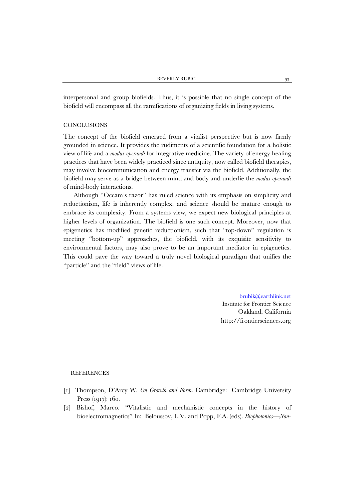interpersonal and group biofields. Thus, it is possible that no single concept of the biofield will encompass all the ramifications of organizing fields in living systems.

# **CONCLUSIONS**

The concept of the biofield emerged from a vitalist perspective but is now firmly grounded in science. It provides the rudiments of a scientific foundation for a holistic view of life and a *modus operandi* for integrative medicine. The variety of energy healing practices that have been widely practiced since antiquity, now called biofield therapies, may involve biocommunication and energy transfer via the biofield. Additionally, the biofield may serve as a bridge between mind and body and underlie the *modus operandi* of mind-body interactions.

Although "Occam's razor" has ruled science with its emphasis on simplicity and reductionism, life is inherently complex, and science should be mature enough to embrace its complexity. From a systems view, we expect new biological principles at higher levels of organization. The biofield is one such concept. Moreover, now that epigenetics has modified genetic reductionism, such that "top-down" regulation is meeting "bottom-up" approaches, the biofield, with its exquisite sensitivity to environmental factors, may also prove to be an important mediator in epigenetics. This could pave the way toward a truly novel biological paradigm that unifies the "particle" and the "field" views of life.

> [brubik@earthlink.net](mailto:brubik@earthlink.net) Institute for Frontier Science Oakland, California http://frontiersciences.org

## **REFERENCES**

- [1] Thompson, D'Arcy W. *On Growth and Form*. Cambridge: Cambridge University Press (1917): 160.
- [2] Bishof, Marco. "Vitalistic and mechanistic concepts in the history of bioelectromagnetics" In: Beloussov, L.V. and Popp, F.A. (eds). *Biophotonics—Non-*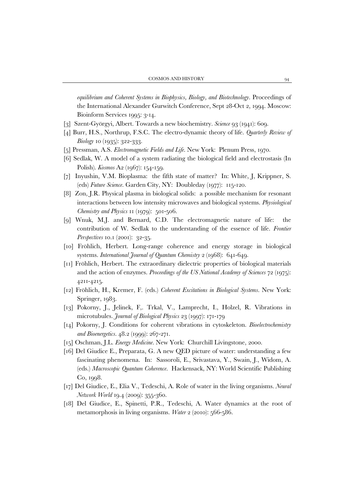*equilibrium and Coherent Systems in Biophysics, Biology, and Biotechnology*. Proceedings of the International Alexander Gurwitch Conference, Sept 28-Oct 2, 1994. Moscow: Bioinform Services 1995: 3-14.

- [3] Szent-Györgyi, Albert. Towards a new biochemistry. *Science* 93 (1941): 609.
- [4] Burr, H.S., Northrup, F.S.C. The electro-dynamic theory of life. *Quarterly Review of Biology* 10 (1935): 322-333.
- [5] Pressman, A.S. *Electromagnetic Fields and Life*. New York: Plenum Press, 1970.
- [6] Sedlak, W. A model of a system radiating the biological field and electrostasis (In Polish). *Kosmos* A2 (1967): 154-159.
- [7] Inyushin, V.M. Bioplasma: the fifth state of matter? In: White, J, Krippner, S. (eds) *Future Science*. Garden City, NY: Doubleday (1977): 115-120.
- [8] Zon, J.R. Physical plasma in biological solids: a possible mechanism for resonant interactions between low intensity microwaves and biological systems. *Physiological Chemistry and Physics* 11 (1979): 501-506.
- [9] Wnuk, M.J. and Bernard, C.D. The electromagnetic nature of life: the contribution of W. Sedlak to the understanding of the essence of life. *Frontier Perspectives* 10.1 (2001): 32-35.
- [10] Fröhlich, Herbert. Long-range coherence and energy storage in biological systems. *International Journal of Quantum Chemistry* 2 (1968): 641-649.
- [11] Fröhlich, Herbert. The extraordinary dielectric properties of biological materials and the action of enzymes. *Proceedings of the US National Academy of Sciences* 72 (1975): 4211-4215.
- [12] Fröhlich, H., Kremer, F. (eds.) *Coherent Excitations in Biological Systems*. New York: Springer, 1983.
- [13] Pokorny, J., Jelinek, F,. Trkal, V., Lamprecht, I., Holzel, R. Vibrations in microtubules. *Journal of Biological Physics* 23 (1997): 171-179
- [14] Pokorny, J. Conditions for coherent vibrations in cytoskeleton. *Bioelectrochemistry and Bioenergetics.* 48.2 (1999): 267-271.
- [15] Oschman, J.L. *Energy Medicine*. New York: Churchill Livingstone, 2000.
- [16] Del Giudice E., Preparata, G. A new QED picture of water: understanding a few fascinating phenomena. In: Sassoroli, E., Srivastava, Y., Swain, J., Widom, A. (eds.) *Macroscopic Quantum Coherence*. Hackensack, NY: World Scientific Publishing Co, 1998.
- [17] Del Giudice, E., Elia V., Tedeschi, A. Role of water in the living organisms. *Neural Network World* 19.4 (2009): 355-360.
- [18] Del Giudice, E., Spinetti, P.R., Tedeschi, A. Water dynamics at the root of metamorphosis in living organisms. *Water* 2 (2010): 566-586.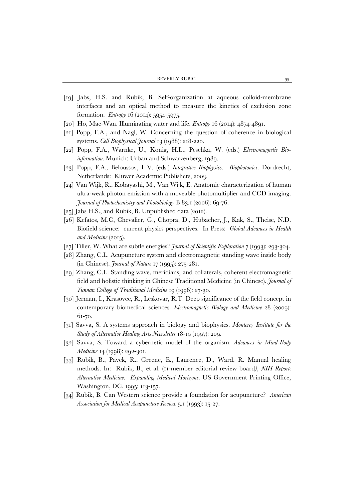- [19] Jabs, H.S. and Rubik, B. Self-organization at aqueous colloid-membrane interfaces and an optical method to measure the kinetics of exclusion zone formation. *Entropy* 16 (2014): 5954-5975.
- [20] Ho, Mae-Wan. Illuminating water and life. *Entropy* 16 (2014): 4874-4891.
- [21] Popp, F.A., and Nagl, W. Concerning the question of coherence in biological systems. *Cell Biophysical Journal* 13 (1988): 218-220.
- [22] Popp, F.A., Warnke, U., Konig, H.L., Peschka, W. (eds.) *Electromagnetic Bioinformation.* Munich: Urban and Schwarzenberg, 1989.
- [23] Popp, F.A., Beloussov, L.V. (eds.) *Integrative Biophysics: Biophotonics.* Dordrecht, Netherlands: Kluwer Academic Publishers, 2003.
- [24] Van Wijk, R., Kobayashi, M., Van Wijk, E. Anatomic characterization of human ultra-weak photon emission with a moveable photomultiplier and CCD imaging. *Journal of Photochemistry and Photobiology* B 83.1 (2006): 69-76.
- [25] Jabs H.S., and Rubik, B. Unpublished data (2012).
- [26] Kefatos, M.C, Chevalier, G., Chopra, D., Hubacher, J., Kak, S., Theise, N.D. Biofield science: current physics perspectives. In Press: *Global Advances in Health*  and *Medicine* (2015).
- [27] Tiller, W. What are subtle energies? *Journal of Scientific Exploration* 7 (1993): 293-304.
- [28] Zhang, C.L. Acupuncture system and electromagnetic standing wave inside body (in Chinese). *Journal of Nature* 17 (1995): 275-281.
- [29] Zhang, C.L. Standing wave, meridians, and collaterals, coherent electromagnetic field and holistic thinking in Chinese Traditional Medicine (in Chinese). *Journal of Yunnan College of Traditional Medicine* 19 (1996): 27-30.
- [30] Jerman, I., Krasovec, R., Leskovar, R.T. Deep significance of the field concept in contemporary biomedical sciences. *Electromagnetic Biology and Medicine* 28 (2009): 61-70.
- [31] Savva, S. A systems approach in biology and biophysics. *Monterey Institute for the Study of Alternative Healing Arts Newsletter* 18-19 (1997): 209.
- [32] Savva, S. Toward a cybernetic model of the organism. *Advances in Mind-Body Medicine* 14 (1998): 292-301.
- [33] Rubik, B., Pavek, R., Greene, E., Laurence, D., Ward, R. Manual healing methods. In: Rubik, B., et al. (11-member editorial review board*), NIH Report: Alternative Medicine: Expanding Medical Horizons.* US Government Printing Office, Washington, DC. 1995: 113-157.
- [34] Rubik, B. Can Western science provide a foundation for acupuncture? *American Association for Medical Acupuncture Review* 5.1 (1993): 15-27.